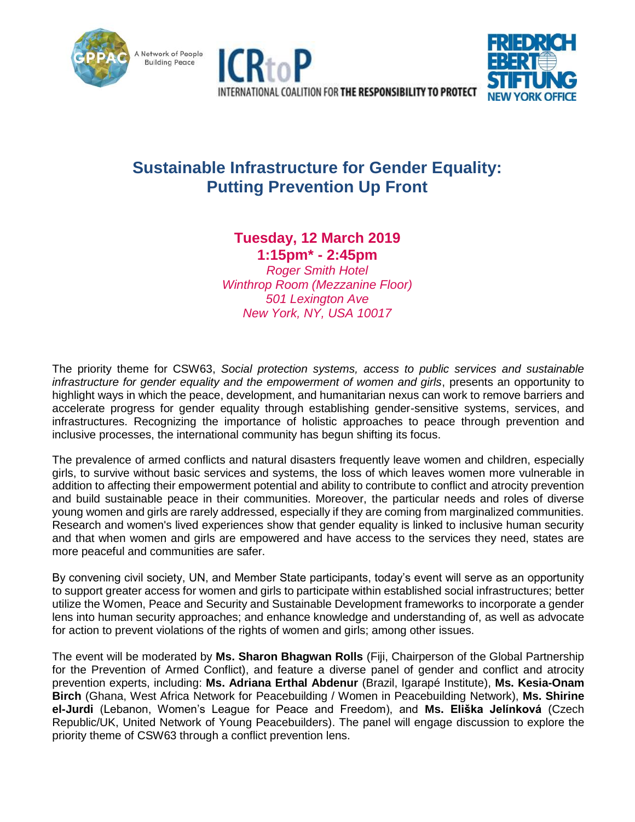





# **Sustainable Infrastructure for Gender Equality: Putting Prevention Up Front**

## **Tuesday, 12 March 2019**

**1:15pm\* - 2:45pm**

*Roger Smith Hotel Winthrop Room (Mezzanine Floor) 501 Lexington Ave New York, NY, USA 10017*

The priority theme for CSW63, *Social protection systems, access to public services and sustainable infrastructure for gender equality and the empowerment of women and girls*, presents an opportunity to highlight ways in which the peace, development, and humanitarian nexus can work to remove barriers and accelerate progress for gender equality through establishing gender-sensitive systems, services, and infrastructures. Recognizing the importance of holistic approaches to peace through prevention and inclusive processes, the international community has begun shifting its focus.

The prevalence of armed conflicts and natural disasters frequently leave women and children, especially girls, to survive without basic services and systems, the loss of which leaves women more vulnerable in addition to affecting their empowerment potential and ability to contribute to conflict and atrocity prevention and build sustainable peace in their communities. Moreover, the particular needs and roles of diverse young women and girls are rarely addressed, especially if they are coming from marginalized communities. Research and women's lived experiences show that gender equality is linked to inclusive human security and that when women and girls are empowered and have access to the services they need, states are more peaceful and communities are safer.

By convening civil society, UN, and Member State participants, today's event will serve as an opportunity to support greater access for women and girls to participate within established social infrastructures; better utilize the Women, Peace and Security and Sustainable Development frameworks to incorporate a gender lens into human security approaches; and enhance knowledge and understanding of, as well as advocate for action to prevent violations of the rights of women and girls; among other issues.

The event will be moderated by **Ms. Sharon Bhagwan Rolls** (Fiji, Chairperson of the Global Partnership for the Prevention of Armed Conflict), and feature a diverse panel of gender and conflict and atrocity prevention experts, including: **Ms. Adriana Erthal Abdenur** (Brazil, Igarapé Institute), **Ms. Kesia-Onam Birch** (Ghana, West Africa Network for Peacebuilding / Women in Peacebuilding Network), **Ms. Shirine el-Jurdi** (Lebanon, Women's League for Peace and Freedom), and **Ms. Eliška Jelínková** (Czech Republic/UK, United Network of Young Peacebuilders). The panel will engage discussion to explore the priority theme of CSW63 through a conflict prevention lens.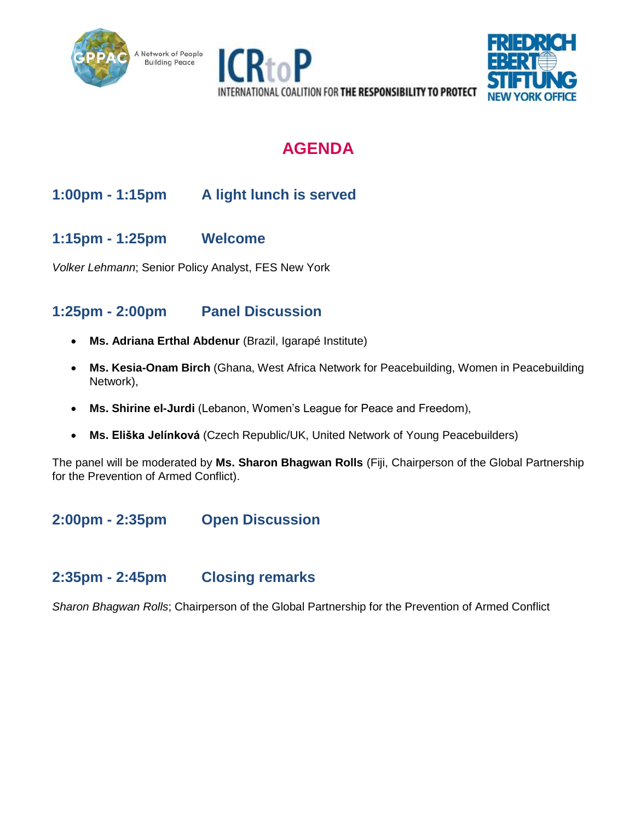





# **AGENDA**

## **1:00pm - 1:15pm A light lunch is served**

### **1:15pm - 1:25pm Welcome**

*Volker Lehmann*; Senior Policy Analyst, FES New York

### **1:25pm - 2:00pm Panel Discussion**

- **Ms. Adriana Erthal Abdenur** (Brazil, Igarapé Institute)
- **Ms. Kesia-Onam Birch** (Ghana, West Africa Network for Peacebuilding, Women in Peacebuilding Network),
- **Ms. Shirine el-Jurdi** (Lebanon, Women's League for Peace and Freedom),
- **Ms. Eliška Jelínková** (Czech Republic/UK, United Network of Young Peacebuilders)

The panel will be moderated by **Ms. Sharon Bhagwan Rolls** (Fiji, Chairperson of the Global Partnership for the Prevention of Armed Conflict).

**2:00pm - 2:35pm Open Discussion**

## **2:35pm - 2:45pm Closing remarks**

*Sharon Bhagwan Rolls*; Chairperson of the Global Partnership for the Prevention of Armed Conflict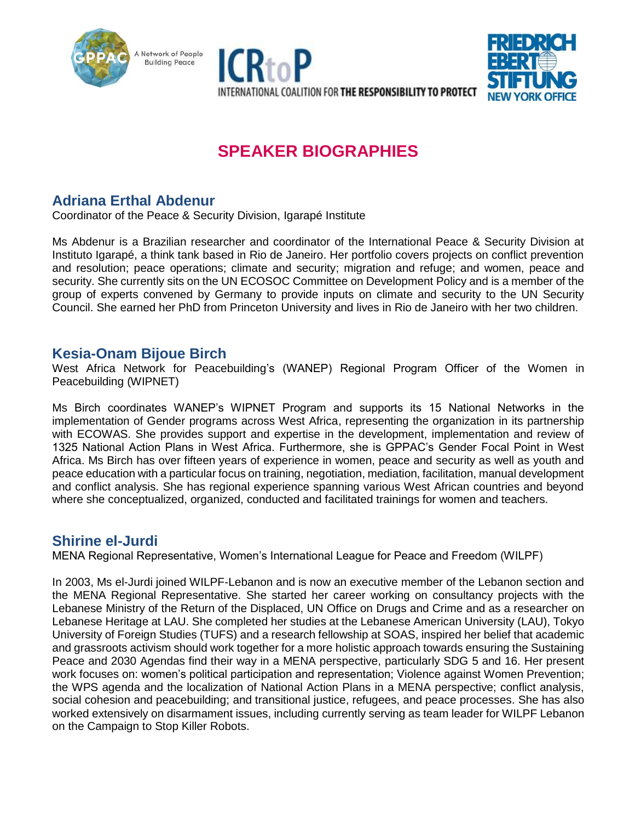





# **SPEAKER BIOGRAPHIES**

## **Adriana Erthal Abdenur**

Coordinator of the Peace & Security Division, Igarapé Institute

Ms Abdenur is a Brazilian researcher and coordinator of the International Peace & Security Division at Instituto Igarapé, a think tank based in Rio de Janeiro. Her portfolio covers projects on conflict prevention and resolution; peace operations; climate and security; migration and refuge; and women, peace and security. She currently sits on the UN ECOSOC Committee on Development Policy and is a member of the group of experts convened by Germany to provide inputs on climate and security to the UN Security Council. She earned her PhD from Princeton University and lives in Rio de Janeiro with her two children.

#### **Kesia-Onam Bijoue Birch**

West Africa Network for Peacebuilding's (WANEP) Regional Program Officer of the Women in Peacebuilding (WIPNET)

Ms Birch coordinates WANEP's WIPNET Program and supports its 15 National Networks in the implementation of Gender programs across West Africa, representing the organization in its partnership with ECOWAS. She provides support and expertise in the development, implementation and review of 1325 National Action Plans in West Africa. Furthermore, she is GPPAC's Gender Focal Point in West Africa. Ms Birch has over fifteen years of experience in women, peace and security as well as youth and peace education with a particular focus on training, negotiation, mediation, facilitation, manual development and conflict analysis. She has regional experience spanning various West African countries and beyond where she conceptualized, organized, conducted and facilitated trainings for women and teachers.

#### **Shirine el-Jurdi**

MENA Regional Representative, Women's International League for Peace and Freedom (WILPF)

In 2003, Ms el-Jurdi joined WILPF-Lebanon and is now an executive member of the Lebanon section and the MENA Regional Representative. She started her career working on consultancy projects with the Lebanese Ministry of the Return of the Displaced, UN Office on Drugs and Crime and as a researcher on Lebanese Heritage at LAU. She completed her studies at the Lebanese American University (LAU), Tokyo University of Foreign Studies (TUFS) and a research fellowship at SOAS, inspired her belief that academic and grassroots activism should work together for a more holistic approach towards ensuring the Sustaining Peace and 2030 Agendas find their way in a MENA perspective, particularly SDG 5 and 16. Her present work focuses on: women's political participation and representation; Violence against Women Prevention; the WPS agenda and the localization of National Action Plans in a MENA perspective; conflict analysis, social cohesion and peacebuilding; and transitional justice, refugees, and peace processes. She has also worked extensively on disarmament issues, including currently serving as team leader for WILPF Lebanon on the Campaign to Stop Killer Robots.